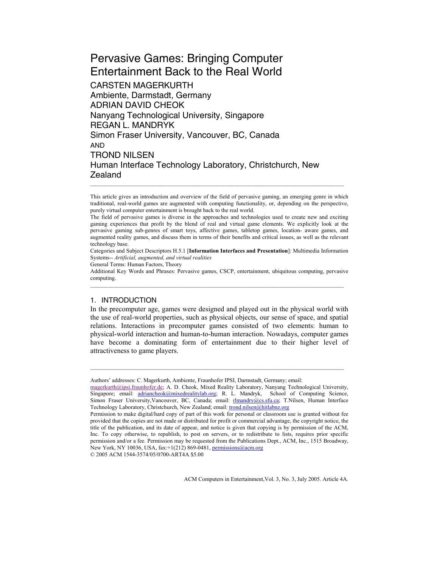Pervasive Games: Bringing Computer Entertainment Back to the Real World CARSTEN MAGERKURTH Ambiente, Darmstadt, Germany ADRIAN DAVID CHEOK Nanyang Technological University, Singapore REGAN L. MANDRYK Simon Fraser University, Vancouver, BC, Canada AND TROND NILSEN Human Interface Technology Laboratory, Christchurch, New Zealand  $\mathcal{L}_\mathcal{L} = \{ \mathcal{L}_\mathcal{L} = \{ \mathcal{L}_\mathcal{L} = \{ \mathcal{L}_\mathcal{L} = \{ \mathcal{L}_\mathcal{L} = \{ \mathcal{L}_\mathcal{L} = \{ \mathcal{L}_\mathcal{L} = \{ \mathcal{L}_\mathcal{L} = \{ \mathcal{L}_\mathcal{L} = \{ \mathcal{L}_\mathcal{L} = \{ \mathcal{L}_\mathcal{L} = \{ \mathcal{L}_\mathcal{L} = \{ \mathcal{L}_\mathcal{L} = \{ \mathcal{L}_\mathcal{L} = \{ \mathcal{L}_\mathcal{$ 

This article gives an introduction and overview of the field of pervasive gaming, an emerging genre in which traditional, real-world games are augmented with computing functionality, or, depending on the perspective, purely virtual computer entertainment is brought back to the real world.

The field of pervasive games is diverse in the approaches and technologies used to create new and exciting gaming experiences that profit by the blend of real and virtual game elements. We explicitly look at the pervasive gaming sub-genres of smart toys, affective games, tabletop games, location- aware games, and augmented reality games, and discuss them in terms of their benefits and critical issues, as well as the relevant technology base.

Categories and Subject Descriptors H.5.1 [**Information Interfaces and Presentation**]: Multimedia Information Systems-- *Artificial, augmented, and virtual realities* 

General Terms: Human Factors, Theory

Additional Key Words and Phrases: Pervasive games, CSCP, entertainment, ubiquitous computing, pervasive computing.  $\mathcal{L}_\text{max}$ 

# 1. INTRODUCTION

In the precomputer age, games were designed and played out in the physical world with the use of real-world properties, such as physical objects, our sense of space, and spatial relations. Interactions in precomputer games consisted of two elements: human to physical-world interaction and human-to-human interaction. Nowadays, computer games have become a dominating form of entertainment due to their higher level of attractiveness to game players.

 $\mathcal{L}_\text{max}$ 

© 2005 ACM 1544-3574/05/0700-ART4A \$5.00

Authors' addresses: C. Magerkurth, Ambiente, Fraunhofer IPSI, Darmstadt, Germany; email:

magerkurth@ipsi.fraunhofer.de; A. D. Cheok, Mixed Reality Laboratory, Nanyang Technological University, Singapore; email: adriancheok@mixedrealitylab.org; R. L. Mandryk, School of Computing Science, Simon Fraser University, Vancouver, BC, Canada; email: rlmandry@cs.sfu.ca; T.Nilsen, Human Interface Technology Laboratory, Christchurch, New Zealand; email: trond.nilsen@hitlabnz.org

Permission to make digital/hard copy of part of this work for personal or classroom use is granted without fee provided that the copies are not made or distributed for profit or commercial advantage, the copyright notice, the title of the publication, and its date of appear, and notice is given that copying is by permission of the ACM, Inc. To copy otherwise, to republish, to post on servers, or to redistribute to lists, requires prior specific permission and/or a fee. Permission may be requested from the Publications Dept., ACM, Inc., 1515 Broadway, New York, NY 10036, USA, fax:+1(212) 869-0481, permissions@acm.org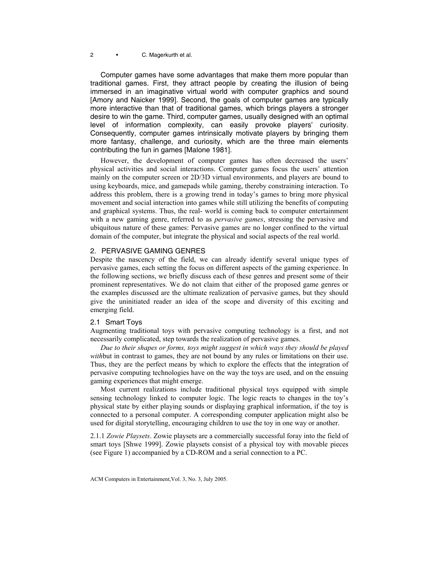Computer games have some advantages that make them more popular than traditional games. First, they attract people by creating the illusion of being immersed in an imaginative virtual world with computer graphics and sound [Amory and Naicker 1999]. Second, the goals of computer games are typically more interactive than that of traditional games, which brings players a stronger desire to win the game. Third, computer games, usually designed with an optimal level of information complexity, can easily provoke players' curiosity. Consequently, computer games intrinsically motivate players by bringing them more fantasy, challenge, and curiosity, which are the three main elements contributing the fun in games [Malone 1981].

However, the development of computer games has often decreased the users' physical activities and social interactions. Computer games focus the users' attention mainly on the computer screen or 2D/3D virtual environments, and players are bound to using keyboards, mice, and gamepads while gaming, thereby constraining interaction. To address this problem, there is a growing trend in today's games to bring more physical movement and social interaction into games while still utilizing the benefits of computing and graphical systems. Thus, the real- world is coming back to computer entertainment with a new gaming genre, referred to as *pervasive games*, stressing the pervasive and ubiquitous nature of these games: Pervasive games are no longer confined to the virtual domain of the computer, but integrate the physical and social aspects of the real world.

# 2. PERVASIVE GAMING GENRES

Despite the nascency of the field, we can already identify several unique types of pervasive games, each setting the focus on different aspects of the gaming experience. In the following sections, we briefly discuss each of these genres and present some of their prominent representatives. We do not claim that either of the proposed game genres or the examples discussed are the ultimate realization of pervasive games, but they should give the uninitiated reader an idea of the scope and diversity of this exciting and emerging field.

# 2.1 Smart Toys

Augmenting traditional toys with pervasive computing technology is a first, and not necessarily complicated, step towards the realization of pervasive games.

*Due to their shapes or forms, toys might suggest in which ways they should be played with*but in contrast to games, they are not bound by any rules or limitations on their use. Thus, they are the perfect means by which to explore the effects that the integration of pervasive computing technologies have on the way the toys are used, and on the ensuing gaming experiences that might emerge.

Most current realizations include traditional physical toys equipped with simple sensing technology linked to computer logic. The logic reacts to changes in the toy's physical state by either playing sounds or displaying graphical information, if the toy is connected to a personal computer. A corresponding computer application might also be used for digital storytelling, encouraging children to use the toy in one way or another.

2.1.1 *Zowie Playsets*. Zowie playsets are a commercially successful foray into the field of smart toys [Shwe 1999]. Zowie playsets consist of a physical toy with movable pieces (see Figure 1) accompanied by a CD-ROM and a serial connection to a PC.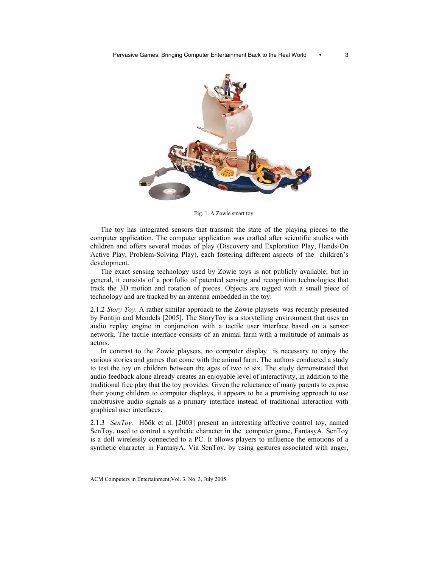

Fig. 1. A Zowie smart toy.

The toy has integrated sensors that transmit the state of the playing pieces to the computer application. The computer application was crafted after scientific studies with children and offers several modes of play (Discovery and Exploration Play, Hands-On Active Play, Problem-Solving Play), each fostering different aspects of the children's development.

The exact sensing technology used by Zowie toys is not publicly available; but in general, it consists of a portfolio of patented sensing and recognition technologies that track the 3D motion and rotation of pieces. Objects are tagged with a small piece of technology and are tracked by an antenna embedded in the toy.

2.1.2 *Story Toy*. A rather similar approach to the Zowie playsets was recently presented by Fontijn and Mendels [2005]. The StoryToy is a storytelling environment that uses an audio replay engine in conjunction with a tactile user interface based on a sensor network. The tactile interface consists of an animal farm with a multitude of animals as actors.

In contrast to the Zowie playsets, no computer display is necessary to enjoy the various stories and games that come with the animal farm. The authors conducted a study to test the toy on children between the ages of two to six. The study demonstrated that audio feedback alone already creates an enjoyable level of interactivity, in addition to the traditional free play that the toy provides. Given the reluctance of many parents to expose their young children to computer displays, it appears to be a promising approach to use unobtrusive audio signals as a primary interface instead of traditional interaction with graphical user interfaces.

2.1.3 *SenToy.* Höök et al. [2003] present an interesting affective control toy, named SenToy, used to control a synthetic character in the computer game, FantasyA. SenToy is a doll wirelessly connected to a PC. It allows players to influence the emotions of a synthetic character in FantasyA. Via SenToy, by using gestures associated with anger,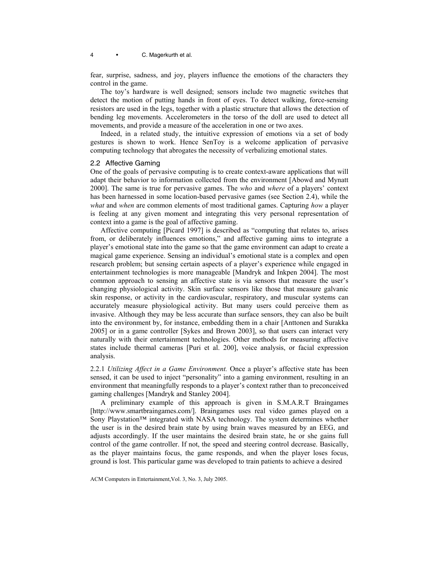fear, surprise, sadness, and joy, players influence the emotions of the characters they control in the game.

The toy's hardware is well designed; sensors include two magnetic switches that detect the motion of putting hands in front of eyes. To detect walking, force-sensing resistors are used in the legs, together with a plastic structure that allows the detection of bending leg movements. Accelerometers in the torso of the doll are used to detect all movements, and provide a measure of the acceleration in one or two axes.

Indeed, in a related study, the intuitive expression of emotions via a set of body gestures is shown to work. Hence SenToy is a welcome application of pervasive computing technology that abrogates the necessity of verbalizing emotional states.

#### 2.2 Affective Gaming

One of the goals of pervasive computing is to create context-aware applications that will adapt their behavior to information collected from the environment [Abowd and Mynatt 2000]. The same is true for pervasive games. The *who* and *where* of a players' context has been harnessed in some location-based pervasive games (see Section 2.4), while the *what* and *when* are common elements of most traditional games. Capturing *how* a player is feeling at any given moment and integrating this very personal representation of context into a game is the goal of affective gaming.

Affective computing [Picard 1997] is described as "computing that relates to, arises from, or deliberately influences emotions," and affective gaming aims to integrate a player's emotional state into the game so that the game environment can adapt to create a magical game experience. Sensing an individual's emotional state is a complex and open research problem; but sensing certain aspects of a player's experience while engaged in entertainment technologies is more manageable [Mandryk and Inkpen 2004]. The most common approach to sensing an affective state is via sensors that measure the user's changing physiological activity. Skin surface sensors like those that measure galvanic skin response, or activity in the cardiovascular, respiratory, and muscular systems can accurately measure physiological activity. But many users could perceive them as invasive. Although they may be less accurate than surface sensors, they can also be built into the environment by, for instance, embedding them in a chair [Anttonen and Surakka 2005] or in a game controller [Sykes and Brown 2003], so that users can interact very naturally with their entertainment technologies. Other methods for measuring affective states include thermal cameras [Puri et al. 200], voice analysis, or facial expression analysis.

2.2.1 *Utilizing Affect in a Game Environment.* Once a player's affective state has been sensed, it can be used to inject "personality" into a gaming environment, resulting in an environment that meaningfully responds to a player's context rather than to preconceived gaming challenges [Mandryk and Stanley 2004].

A preliminary example of this approach is given in S.M.A.R.T Braingames [http://www.smartbraingames.com/]. Braingames uses real video games played on a Sony Playstation™ integrated with NASA technology. The system determines whether the user is in the desired brain state by using brain waves measured by an EEG, and adjusts accordingly. If the user maintains the desired brain state, he or she gains full control of the game controller. If not, the speed and steering control decrease. Basically, as the player maintains focus, the game responds, and when the player loses focus, ground is lost. This particular game was developed to train patients to achieve a desired

ACM Computers in Entertainment,Vol. 3, No. 3, July 2005.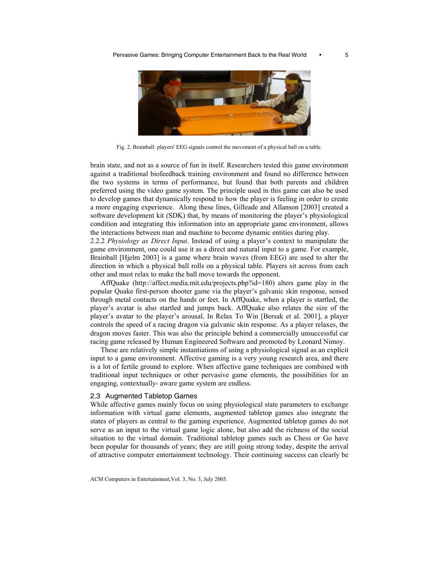

Fig. 2. Brainball: players' EEG signals control the movement of a physical ball on a table.

brain state, and not as a source of fun in itself. Researchers tested this game environment against a traditional biofeedback training environment and found no difference between the two systems in terms of performance, but found that both parents and children preferred using the video game system. The principle used in this game can also be used to develop games that dynamically respond to how the player is feeling in order to create a more engaging experience. Along these lines, Gilleade and Allanson [2003] created a software development kit (SDK) that, by means of monitoring the player's physiological condition and integrating this information into an appropriate game environment, allows the interactions between man and machine to become dynamic entities during play.

2.2.2 *Physiology as Direct Input*. Instead of using a player's context to manipulate the game environment, one could use it as a direct and natural input to a game. For example, Brainball [Hjelm 2003] is a game where brain waves (from EEG) are used to alter the direction in which a physical ball rolls on a physical table. Players sit across from each other and must relax to make the ball move towards the opponent.

AffQuake (http://affect.media.mit.edu/projects.php?id=180) alters game play in the popular Quake first-person shooter game via the player's galvanic skin response, sensed through metal contacts on the hands or feet. In AffQuake, when a player is startled, the player's avatar is also startled and jumps back. AffQuake also relates the size of the player's avatar to the player's arousal. In Relax To Win [Bersak et al. 2001], a player controls the speed of a racing dragon via galvanic skin response. As a player relaxes, the dragon moves faster. This was also the principle behind a commercially unsuccessful car racing game released by Human Engineered Software and promoted by Leonard Nimoy.

These are relatively simple instantiations of using a physiological signal as an explicit input to a game environment. Affective gaming is a very young research area, and there is a lot of fertile ground to explore. When affective game techniques are combined with traditional input techniques or other pervasive game elements, the possibilities for an engaging, contextually- aware game system are endless.

# 2.3 Augmented Tabletop Games

While affective games mainly focus on using physiological state parameters to exchange information with virtual game elements, augmented tabletop games also integrate the states of players as central to the gaming experience. Augmented tabletop games do not serve as an input to the virtual game logic alone, but also add the richness of the social situation to the virtual domain. Traditional tabletop games such as Chess or Go have been popular for thousands of years; they are still going strong today, despite the arrival of attractive computer entertainment technology. Their continuing success can clearly be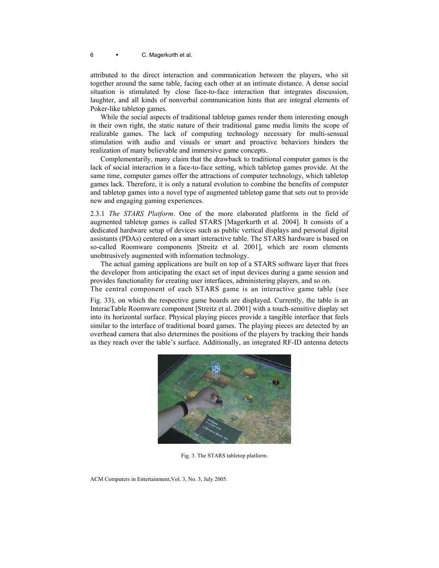attributed to the direct interaction and communication between the players, who sit together around the same table, facing each other at an intimate distance. A dense social situation is stimulated by close face-to-face interaction that integrates discussion, laughter, and all kinds of nonverbal communication hints that are integral elements of Poker-like tabletop games.

While the social aspects of traditional tabletop games render them interesting enough in their own right, the static nature of their traditional game media limits the scope of realizable games. The lack of computing technology necessary for multi-sensual stimulation with audio and visuals or smart and proactive behaviors hinders the realization of many believable and immersive game concepts.

Complementarily, many claim that the drawback to traditional computer games is the lack of social interaction in a face-to-face setting, which tabletop games provide. At the same time, computer games offer the attractions of computer technology, which tabletop games lack. Therefore, it is only a natural evolution to combine the benefits of computer and tabletop games into a novel type of augmented tabletop game that sets out to provide new and engaging gaming experiences.

2.3.1 *The STARS Platform*. One of the more elaborated platforms in the field of augmented tabletop games is called STARS [Magerkurth et al. 2004]. It consists of a dedicated hardware setup of devices such as public vertical displays and personal digital assistants (PDAs) centered on a smart interactive table. The STARS hardware is based on so-called Roomware components ]Streitz et al. 2001], which are room elements unobtrusively augmented with information technology.

The actual gaming applications are built on top of a STARS software layer that frees the developer from anticipating the exact set of input devices during a game session and provides functionality for creating user interfaces, administering players, and so on.

The central component of each STARS game is an interactive game table (see

Fig. 33), on which the respective game boards are displayed. Currently, the table is an InteracTable Roomware component [Streitz et al. 2001] with a touch-sensitive display set into its horizontal surface. Physical playing pieces provide a tangible interface that feels similar to the interface of traditional board games. The playing pieces are detected by an overhead camera that also determines the positions of the players by tracking their hands as they reach over the table's surface. Additionally, an integrated RF-ID antenna detects



Fig. 3. The STARS tabletop platform.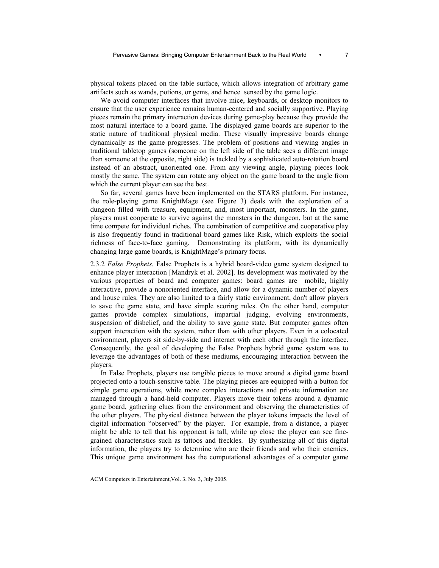physical tokens placed on the table surface, which allows integration of arbitrary game artifacts such as wands, potions, or gems, and hence sensed by the game logic.

We avoid computer interfaces that involve mice, keyboards, or desktop monitors to ensure that the user experience remains human-centered and socially supportive. Playing pieces remain the primary interaction devices during game-play because they provide the most natural interface to a board game. The displayed game boards are superior to the static nature of traditional physical media. These visually impressive boards change dynamically as the game progresses. The problem of positions and viewing angles in traditional tabletop games (someone on the left side of the table sees a different image than someone at the opposite, right side) is tackled by a sophisticated auto-rotation board instead of an abstract, unoriented one. From any viewing angle, playing pieces look mostly the same. The system can rotate any object on the game board to the angle from which the current player can see the best.

So far, several games have been implemented on the STARS platform. For instance, the role-playing game KnightMage (see Figure 3) deals with the exploration of a dungeon filled with treasure, equipment, and, most important, monsters. In the game, players must cooperate to survive against the monsters in the dungeon, but at the same time compete for individual riches. The combination of competitive and cooperative play is also frequently found in traditional board games like Risk, which exploits the social richness of face-to-face gaming. Demonstrating its platform, with its dynamically changing large game boards, is KnightMage's primary focus.

2.3.2 *False Prophets*. False Prophets is a hybrid board-video game system designed to enhance player interaction [Mandryk et al. 2002]. Its development was motivated by the various properties of board and computer games: board games are mobile, highly interactive, provide a nonoriented interface, and allow for a dynamic number of players and house rules. They are also limited to a fairly static environment, don't allow players to save the game state, and have simple scoring rules. On the other hand, computer games provide complex simulations, impartial judging, evolving environments, suspension of disbelief, and the ability to save game state. But computer games often support interaction with the system, rather than with other players. Even in a colocated environment, players sit side-by-side and interact with each other through the interface. Consequently, the goal of developing the False Prophets hybrid game system was to leverage the advantages of both of these mediums, encouraging interaction between the players.

In False Prophets, players use tangible pieces to move around a digital game board projected onto a touch-sensitive table. The playing pieces are equipped with a button for simple game operations, while more complex interactions and private information are managed through a hand-held computer. Players move their tokens around a dynamic game board, gathering clues from the environment and observing the characteristics of the other players. The physical distance between the player tokens impacts the level of digital information "observed" by the player. For example, from a distance, a player might be able to tell that his opponent is tall, while up close the player can see finegrained characteristics such as tattoos and freckles. By synthesizing all of this digital information, the players try to determine who are their friends and who their enemies. This unique game environment has the computational advantages of a computer game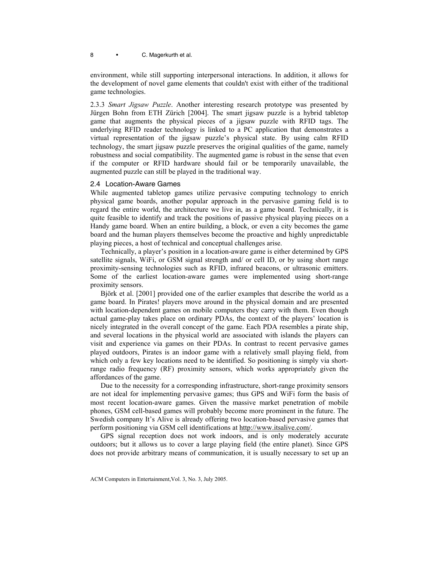environment, while still supporting interpersonal interactions. In addition, it allows for the development of novel game elements that couldn't exist with either of the traditional game technologies.

2.3.3 *Smart Jigsaw Puzzle*. Another interesting research prototype was presented by Jürgen Bohn from ETH Zürich [2004]. The smart jigsaw puzzle is a hybrid tabletop game that augments the physical pieces of a jigsaw puzzle with RFID tags. The underlying RFID reader technology is linked to a PC application that demonstrates a virtual representation of the jigsaw puzzle's physical state. By using calm RFID technology, the smart jigsaw puzzle preserves the original qualities of the game, namely robustness and social compatibility. The augmented game is robust in the sense that even if the computer or RFID hardware should fail or be temporarily unavailable, the augmented puzzle can still be played in the traditional way.

#### 2.4 Location-Aware Games

While augmented tabletop games utilize pervasive computing technology to enrich physical game boards, another popular approach in the pervasive gaming field is to regard the entire world, the architecture we live in, as a game board. Technically, it is quite feasible to identify and track the positions of passive physical playing pieces on a Handy game board. When an entire building, a block, or even a city becomes the game board and the human players themselves become the proactive and highly unpredictable playing pieces, a host of technical and conceptual challenges arise.

Technically, a player's position in a location-aware game is either determined by GPS satellite signals, WiFi, or GSM signal strength and/ or cell ID, or by using short range proximity-sensing technologies such as RFID, infrared beacons, or ultrasonic emitters. Some of the earliest location-aware games were implemented using short-range proximity sensors.

Björk et al. [2001] provided one of the earlier examples that describe the world as a game board. In Pirates! players move around in the physical domain and are presented with location-dependent games on mobile computers they carry with them. Even though actual game-play takes place on ordinary PDAs, the context of the players' location is nicely integrated in the overall concept of the game. Each PDA resembles a pirate ship, and several locations in the physical world are associated with islands the players can visit and experience via games on their PDAs. In contrast to recent pervasive games played outdoors, Pirates is an indoor game with a relatively small playing field, from which only a few key locations need to be identified. So positioning is simply via shortrange radio frequency (RF) proximity sensors, which works appropriately given the affordances of the game.

Due to the necessity for a corresponding infrastructure, short-range proximity sensors are not ideal for implementing pervasive games; thus GPS and WiFi form the basis of most recent location-aware games. Given the massive market penetration of mobile phones, GSM cell-based games will probably become more prominent in the future. The Swedish company It's Alive is already offering two location-based pervasive games that perform positioning via GSM cell identifications at http://www.itsalive.com/.

GPS signal reception does not work indoors, and is only moderately accurate outdoors; but it allows us to cover a large playing field (the entire planet). Since GPS does not provide arbitrary means of communication, it is usually necessary to set up an

ACM Computers in Entertainment,Vol. 3, No. 3, July 2005.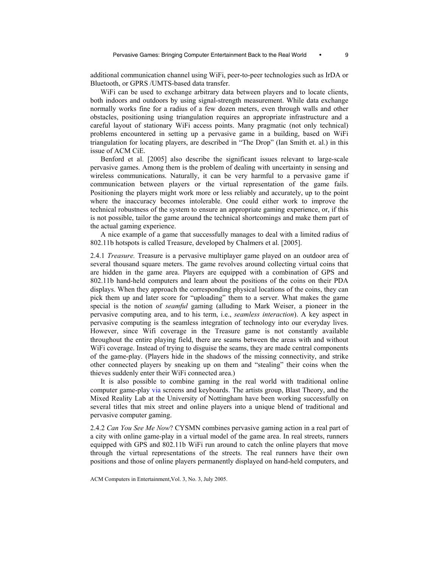additional communication channel using WiFi, peer-to-peer technologies such as IrDA or Bluetooth, or GPRS /UMTS-based data transfer.

W<sub>iFi</sub> can be used to exchange arbitrary data between players and to locate clients, both indoors and outdoors by using signal-strength measurement. While data exchange normally works fine for a radius of a few dozen meters, even through walls and other obstacles, positioning using triangulation requires an appropriate infrastructure and a careful layout of stationary WiFi access points. Many pragmatic (not only technical) problems encountered in setting up a pervasive game in a building, based on WiFi triangulation for locating players, are described in "The Drop" (Ian Smith et. al.) in this issue of ACM CiE.

Benford et al. [2005] also describe the significant issues relevant to large-scale pervasive games. Among them is the problem of dealing with uncertainty in sensing and wireless communications. Naturally, it can be very harmful to a pervasive game if communication between players or the virtual representation of the game fails. Positioning the players might work more or less reliably and accurately, up to the point where the inaccuracy becomes intolerable. One could either work to improve the technical robustness of the system to ensure an appropriate gaming experience, or, if this is not possible, tailor the game around the technical shortcomings and make them part of the actual gaming experience.

A nice example of a game that successfully manages to deal with a limited radius of 802.11b hotspots is called Treasure, developed by Chalmers et al. [2005].

2.4.1 *Treasure.* Treasure is a pervasive multiplayer game played on an outdoor area of several thousand square meters. The game revolves around collecting virtual coins that are hidden in the game area. Players are equipped with a combination of GPS and 802.11b hand-held computers and learn about the positions of the coins on their PDA displays. When they approach the corresponding physical locations of the coins, they can pick them up and later score for "uploading" them to a server. What makes the game special is the notion of *seamful* gaming (alluding to Mark Weiser, a pioneer in the pervasive computing area, and to his term, i.e., *seamless interaction*). A key aspect in pervasive computing is the seamless integration of technology into our everyday lives. However, since Wifi coverage in the Treasure game is not constantly available throughout the entire playing field, there are seams between the areas with and without WiFi coverage. Instead of trying to disguise the seams, they are made central components of the game-play. (Players hide in the shadows of the missing connectivity, and strike other connected players by sneaking up on them and "stealing" their coins when the thieves suddenly enter their WiFi connected area.)

It is also possible to combine gaming in the real world with traditional online computer game-play via screens and keyboards. The artists group, Blast Theory, and the Mixed Reality Lab at the University of Nottingham have been working successfully on several titles that mix street and online players into a unique blend of traditional and pervasive computer gaming.

2.4.2 *Can You See Me Now*? CYSMN combines pervasive gaming action in a real part of a city with online game-play in a virtual model of the game area. In real streets, runners equipped with GPS and 802.11b WiFi run around to catch the online players that move through the virtual representations of the streets. The real runners have their own positions and those of online players permanently displayed on hand-held computers, and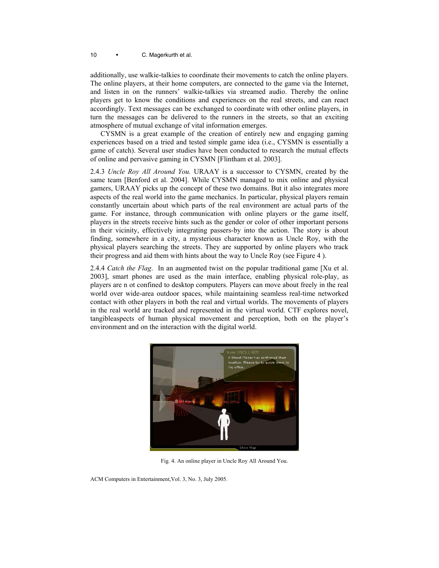additionally, use walkie-talkies to coordinate their movements to catch the online players. The online players, at their home computers, are connected to the game via the Internet, and listen in on the runners' walkie-talkies via streamed audio. Thereby the online players get to know the conditions and experiences on the real streets, and can react accordingly. Text messages can be exchanged to coordinate with other online players, in turn the messages can be delivered to the runners in the streets, so that an exciting atmosphere of mutual exchange of vital information emerges.

CYSMN is a great example of the creation of entirely new and engaging gaming experiences based on a tried and tested simple game idea (i.e., CYSMN is essentially a game of catch). Several user studies have been conducted to research the mutual effects of online and pervasive gaming in CYSMN [Flintham et al. 2003].

2.4.3 *Uncle Roy All Around You.* URAAY is a successor to CYSMN, created by the same team [Benford et al. 2004]. While CYSMN managed to mix online and physical gamers, URAAY picks up the concept of these two domains. But it also integrates more aspects of the real world into the game mechanics. In particular, physical players remain constantly uncertain about which parts of the real environment are actual parts of the game. For instance, through communication with online players or the game itself, players in the streets receive hints such as the gender or color of other important persons in their vicinity, effectively integrating passers-by into the action. The story is about finding, somewhere in a city, a mysterious character known as Uncle Roy, with the physical players searching the streets. They are supported by online players who track their progress and aid them with hints about the way to Uncle Roy (see Figure 4 ).

2.4.4 *Catch the Flag*. In an augmented twist on the popular traditional game [Xu et al. 2003], smart phones are used as the main interface, enabling physical role-play, as players are n ot confined to desktop computers. Players can move about freely in the real world over wide-area outdoor spaces, while maintaining seamless real-time networked contact with other players in both the real and virtual worlds. The movements of players in the real world are tracked and represented in the virtual world. CTF explores novel, tangibleaspects of human physical movement and perception, both on the player's environment and on the interaction with the digital world.



Fig. 4. An online player in Uncle Roy All Around You.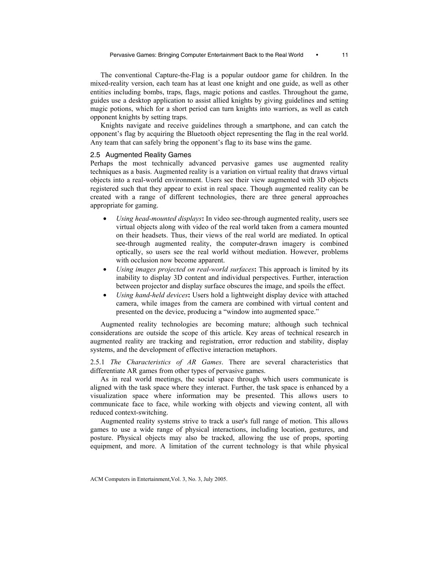The conventional Capture-the-Flag is a popular outdoor game for children. In the mixed-reality version, each team has at least one knight and one guide, as well as other entities including bombs, traps, flags, magic potions and castles. Throughout the game, guides use a desktop application to assist allied knights by giving guidelines and setting magic potions, which for a short period can turn knights into warriors, as well as catch opponent knights by setting traps.

Knights navigate and receive guidelines through a smartphone, and can catch the opponent's flag by acquiring the Bluetooth object representing the flag in the real world. Any team that can safely bring the opponent's flag to its base wins the game.

# 2.5 Augmented Reality Games

Perhaps the most technically advanced pervasive games use augmented reality techniques as a basis. Augmented reality is a variation on virtual reality that draws virtual objects into a real-world environment. Users see their view augmented with 3D objects registered such that they appear to exist in real space. Though augmented reality can be created with a range of different technologies, there are three general approaches appropriate for gaming.

- *Using head-mounted displays***:** In video see-through augmented reality, users see virtual objects along with video of the real world taken from a camera mounted on their headsets. Thus, their views of the real world are mediated. In optical see-through augmented reality, the computer-drawn imagery is combined optically, so users see the real world without mediation. However, problems with occlusion now become apparent.
- *Using images projected on real-world surfaces***:** This approach is limited by its inability to display 3D content and individual perspectives. Further, interaction between projector and display surface obscures the image, and spoils the effect.
- *Using hand-held devices***:** Users hold a lightweight display device with attached camera, while images from the camera are combined with virtual content and presented on the device, producing a "window into augmented space."

Augmented reality technologies are becoming mature; although such technical considerations are outside the scope of this article. Key areas of technical research in augmented reality are tracking and registration, error reduction and stability, display systems, and the development of effective interaction metaphors.

2.5.1 *The Characteristics of AR Games*. There are several characteristics that differentiate AR games from other types of pervasive games.

As in real world meetings, the social space through which users communicate is aligned with the task space where they interact. Further, the task space is enhanced by a visualization space where information may be presented. This allows users to communicate face to face, while working with objects and viewing content, all with reduced context-switching.

Augmented reality systems strive to track a user's full range of motion. This allows games to use a wide range of physical interactions, including location, gestures, and posture. Physical objects may also be tracked, allowing the use of props, sporting equipment, and more. A limitation of the current technology is that while physical

ACM Computers in Entertainment,Vol. 3, No. 3, July 2005.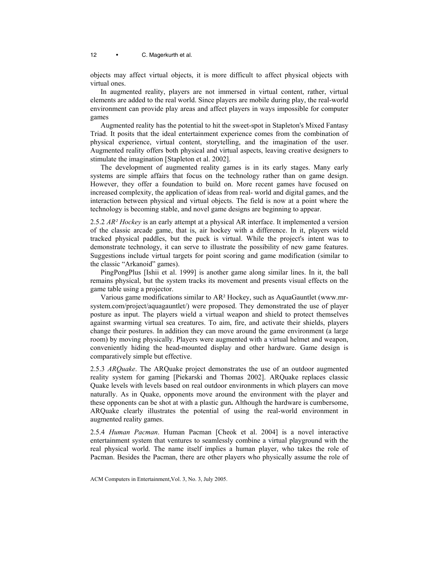objects may affect virtual objects, it is more difficult to affect physical objects with virtual ones.

In augmented reality, players are not immersed in virtual content, rather, virtual elements are added to the real world. Since players are mobile during play, the real-world environment can provide play areas and affect players in ways impossible for computer games

Augmented reality has the potential to hit the sweet-spot in Stapleton's Mixed Fantasy Triad. It posits that the ideal entertainment experience comes from the combination of physical experience, virtual content, storytelling, and the imagination of the user. Augmented reality offers both physical and virtual aspects, leaving creative designers to stimulate the imagination [Stapleton et al. 2002].

The development of augmented reality games is in its early stages. Many early systems are simple affairs that focus on the technology rather than on game design. However, they offer a foundation to build on. More recent games have focused on increased complexity, the application of ideas from real- world and digital games, and the interaction between physical and virtual objects. The field is now at a point where the technology is becoming stable, and novel game designs are beginning to appear.

2.5.2 *AR² Hockey* is an early attempt at a physical AR interface. It implemented a version of the classic arcade game, that is, air hockey with a difference. In it, players wield tracked physical paddles, but the puck is virtual. While the project's intent was to demonstrate technology, it can serve to illustrate the possibility of new game features. Suggestions include virtual targets for point scoring and game modification (similar to the classic "Arkanoid" games).

PingPongPlus [Ishii et al. 1999] is another game along similar lines. In it, the ball remains physical, but the system tracks its movement and presents visual effects on the game table using a projector.

Various game modifications similar to AR² Hockey, such as AquaGauntlet (www.mrsystem.com/project/aquagauntlet/) were proposed. They demonstrated the use of player posture as input. The players wield a virtual weapon and shield to protect themselves against swarming virtual sea creatures. To aim, fire, and activate their shields, players change their postures. In addition they can move around the game environment (a large room) by moving physically. Players were augmented with a virtual helmet and weapon, conveniently hiding the head-mounted display and other hardware. Game design is comparatively simple but effective.

2.5.3 *ARQuake*. The ARQuake project demonstrates the use of an outdoor augmented reality system for gaming [Piekarski and Thomas 2002]. ARQuake replaces classic Quake levels with levels based on real outdoor environments in which players can move naturally. As in Quake, opponents move around the environment with the player and these opponents can be shot at with a plastic gun**.** Although the hardware is cumbersome, ARQuake clearly illustrates the potential of using the real-world environment in augmented reality games.

2.5.4 *Human Pacman*. Human Pacman [Cheok et al. 2004] is a novel interactive entertainment system that ventures to seamlessly combine a virtual playground with the real physical world. The name itself implies a human player, who takes the role of Pacman. Besides the Pacman, there are other players who physically assume the role of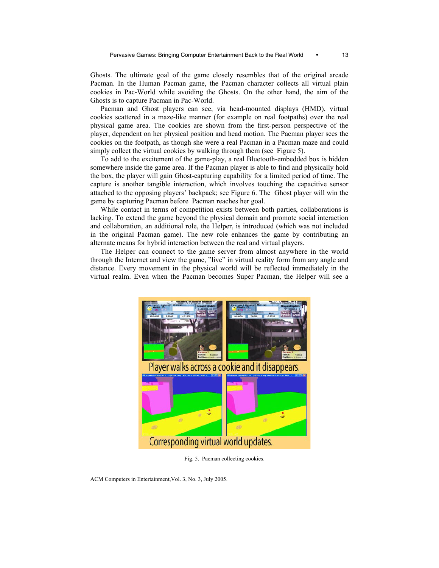Ghosts. The ultimate goal of the game closely resembles that of the original arcade Pacman. In the Human Pacman game, the Pacman character collects all virtual plain cookies in Pac-World while avoiding the Ghosts. On the other hand, the aim of the Ghosts is to capture Pacman in Pac-World.

Pacman and Ghost players can see, via head-mounted displays (HMD), virtual cookies scattered in a maze-like manner (for example on real footpaths) over the real physical game area. The cookies are shown from the first-person perspective of the player, dependent on her physical position and head motion. The Pacman player sees the cookies on the footpath, as though she were a real Pacman in a Pacman maze and could simply collect the virtual cookies by walking through them (see Figure 5).

To add to the excitement of the game-play, a real Bluetooth-embedded box is hidden somewhere inside the game area. If the Pacman player is able to find and physically hold the box, the player will gain Ghost-capturing capability for a limited period of time. The capture is another tangible interaction, which involves touching the capacitive sensor attached to the opposing players' backpack; see Figure 6. The Ghost player will win the game by capturing Pacman before Pacman reaches her goal.

While contact in terms of competition exists between both parties, collaborations is lacking. To extend the game beyond the physical domain and promote social interaction and collaboration, an additional role, the Helper, is introduced (which was not included in the original Pacman game). The new role enhances the game by contributing an alternate means for hybrid interaction between the real and virtual players.

The Helper can connect to the game server from almost anywhere in the world through the Internet and view the game, "live" in virtual reality form from any angle and distance. Every movement in the physical world will be reflected immediately in the virtual realm. Even when the Pacman becomes Super Pacman, the Helper will see a



Fig. 5. Pacman collecting cookies.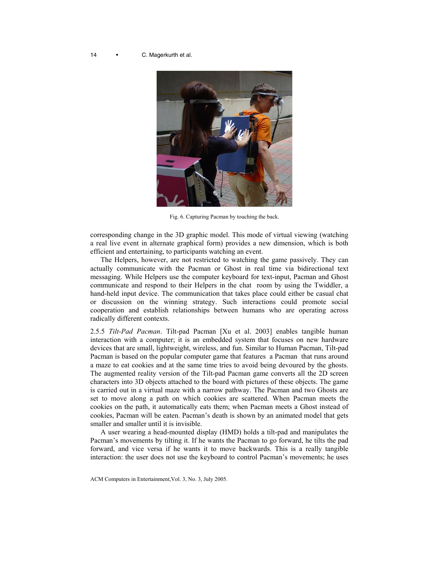

Fig. 6. Capturing Pacman by touching the back.

corresponding change in the 3D graphic model. This mode of virtual viewing (watching a real live event in alternate graphical form) provides a new dimension, which is both efficient and entertaining, to participants watching an event.

The Helpers, however, are not restricted to watching the game passively. They can actually communicate with the Pacman or Ghost in real time via bidirectional text messaging. While Helpers use the computer keyboard for text-input, Pacman and Ghost communicate and respond to their Helpers in the chat room by using the Twiddler, a hand-held input device. The communication that takes place could either be casual chat or discussion on the winning strategy. Such interactions could promote social cooperation and establish relationships between humans who are operating across radically different contexts.

2.5.5 *Tilt-Pad Pacman*. Tilt-pad Pacman [Xu et al. 2003] enables tangible human interaction with a computer; it is an embedded system that focuses on new hardware devices that are small, lightweight, wireless, and fun. Similar to Human Pacman, Tilt-pad Pacman is based on the popular computer game that features a Pacman that runs around a maze to eat cookies and at the same time tries to avoid being devoured by the ghosts. The augmented reality version of the Tilt-pad Pacman game converts all the 2D screen characters into 3D objects attached to the board with pictures of these objects. The game is carried out in a virtual maze with a narrow pathway. The Pacman and two Ghosts are set to move along a path on which cookies are scattered. When Pacman meets the cookies on the path, it automatically eats them; when Pacman meets a Ghost instead of cookies, Pacman will be eaten. Pacman's death is shown by an animated model that gets smaller and smaller until it is invisible.

A user wearing a head-mounted display (HMD) holds a tilt-pad and manipulates the Pacman's movements by tilting it. If he wants the Pacman to go forward, he tilts the pad forward, and vice versa if he wants it to move backwards. This is a really tangible interaction: the user does not use the keyboard to control Pacman's movements; he uses

ACM Computers in Entertainment,Vol. 3, No. 3, July 2005.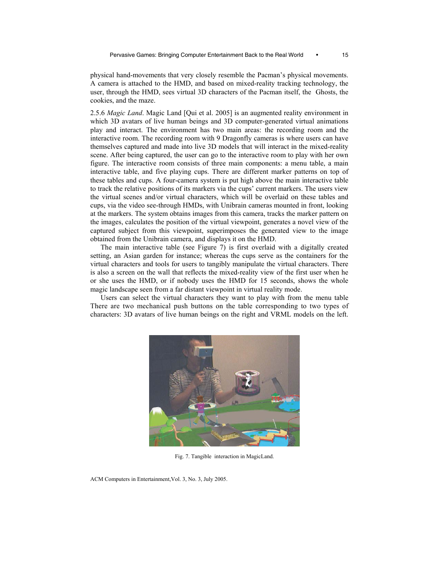physical hand-movements that very closely resemble the Pacman's physical movements. A camera is attached to the HMD, and based on mixed-reality tracking technology, the user, through the HMD, sees virtual 3D characters of the Pacman itself, the Ghosts, the cookies, and the maze.

2.5.6 *Magic Land*. Magic Land [Qui et al. 2005] is an augmented reality environment in which 3D avatars of live human beings and 3D computer-generated virtual animations play and interact. The environment has two main areas: the recording room and the interactive room. The recording room with 9 Dragonfly cameras is where users can have themselves captured and made into live 3D models that will interact in the mixed-reality scene. After being captured, the user can go to the interactive room to play with her own figure. The interactive room consists of three main components: a menu table, a main interactive table, and five playing cups. There are different marker patterns on top of these tables and cups. A four-camera system is put high above the main interactive table to track the relative positions of its markers via the cups' current markers. The users view the virtual scenes and/or virtual characters, which will be overlaid on these tables and cups, via the video see-through HMDs, with Unibrain cameras mounted in front, looking at the markers. The system obtains images from this camera, tracks the marker pattern on the images, calculates the position of the virtual viewpoint, generates a novel view of the captured subject from this viewpoint, superimposes the generated view to the image obtained from the Unibrain camera, and displays it on the HMD.

The main interactive table (see Figure 7) is first overlaid with a digitally created setting, an Asian garden for instance; whereas the cups serve as the containers for the virtual characters and tools for users to tangibly manipulate the virtual characters. There is also a screen on the wall that reflects the mixed-reality view of the first user when he or she uses the HMD, or if nobody uses the HMD for 15 seconds, shows the whole magic landscape seen from a far distant viewpoint in virtual reality mode.

Users can select the virtual characters they want to play with from the menu table There are two mechanical push buttons on the table corresponding to two types of characters: 3D avatars of live human beings on the right and VRML models on the left.



Fig. 7. Tangible interaction in MagicLand.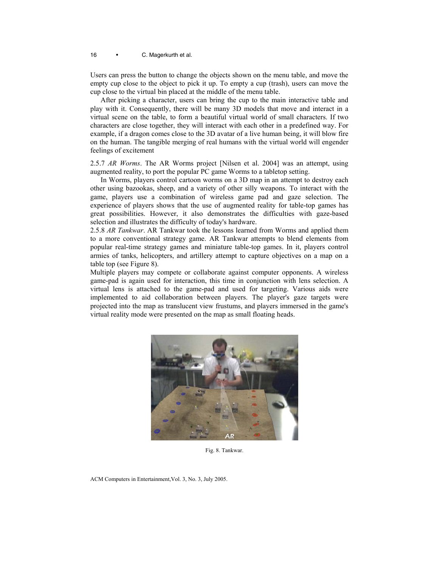Users can press the button to change the objects shown on the menu table, and move the empty cup close to the object to pick it up. To empty a cup (trash), users can move the cup close to the virtual bin placed at the middle of the menu table.

After picking a character, users can bring the cup to the main interactive table and play with it. Consequently, there will be many 3D models that move and interact in a virtual scene on the table, to form a beautiful virtual world of small characters. If two characters are close together, they will interact with each other in a predefined way. For example, if a dragon comes close to the 3D avatar of a live human being, it will blow fire on the human. The tangible merging of real humans with the virtual world will engender feelings of excitement

2.5.7 *AR Worms*. The AR Worms project [Nilsen et al. 2004] was an attempt, using augmented reality, to port the popular PC game Worms to a tabletop setting.

In Worms, players control cartoon worms on a 3D map in an attempt to destroy each other using bazookas, sheep, and a variety of other silly weapons. To interact with the game, players use a combination of wireless game pad and gaze selection. The experience of players shows that the use of augmented reality for table-top games has great possibilities. However, it also demonstrates the difficulties with gaze-based selection and illustrates the difficulty of today's hardware.

2.5.8 *AR Tankwar*. AR Tankwar took the lessons learned from Worms and applied them to a more conventional strategy game. AR Tankwar attempts to blend elements from popular real-time strategy games and miniature table-top games. In it, players control armies of tanks, helicopters, and artillery attempt to capture objectives on a map on a table top (see Figure 8).

Multiple players may compete or collaborate against computer opponents. A wireless game-pad is again used for interaction, this time in conjunction with lens selection. A virtual lens is attached to the game-pad and used for targeting. Various aids were implemented to aid collaboration between players. The player's gaze targets were projected into the map as translucent view frustums, and players immersed in the game's virtual reality mode were presented on the map as small floating heads.



Fig. 8. Tankwar.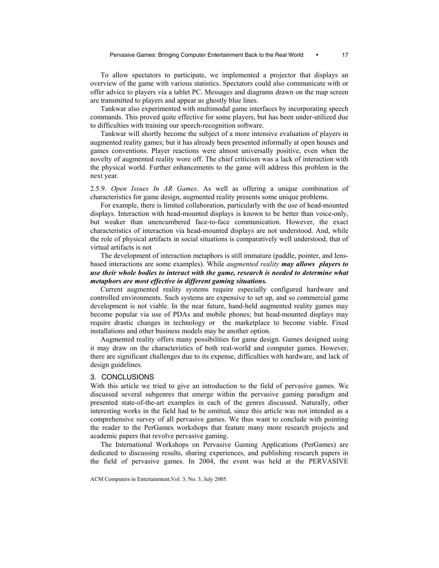To allow spectators to participate, we implemented a projector that displays an overview of the game with various statistics. Spectators could also communicate with or offer advice to players via a tablet PC. Messages and diagrams drawn on the map screen are transmitted to players and appear as ghostly blue lines.

Tankwar also experimented with multimodal game interfaces by incorporating speech commands. This proved quite effective for some players, but has been under-utilized due to difficulties with training our speech-recognition software.

Tankwar will shortly become the subject of a more intensive evaluation of players in augmented reality games; but it has already been presented informally at open houses and games conventions. Player reactions were almost universally positive, even when the novelty of augmented reality wore off. The chief criticism was a lack of interaction with the physical world. Further enhancements to the game will address this problem in the next year.

2.5.9. *Open Issues In AR Games*. As well as offering a unique combination of characteristics for game design, augmented reality presents some unique problems.

For example, there is limited collaboration, particularly with the use of head-mounted displays. Interaction with head-mounted displays is known to be better than voice-only, but weaker than unencumbered face-to-face communication. However, the exact characteristics of interaction via head-mounted displays are not understood. And, while the role of physical artifacts in social situations is comparatively well understood, that of virtual artifacts is not

The development of interaction metaphors is still immature (paddle, pointer, and lensbased interactions are some examples). While *augmented reality may allows players to use their whole bodies to interact with the game, research is needed to determine what metaphors are most effective in different gaming situations.* 

Current augmented reality systems require especially configured hardware and controlled environments. Such systems are expensive to set up, and so commercial game development is not viable. In the near future, hand-held augmented reality games may become popular via use of PDAs and mobile phones; but head-mounted displays may require drastic changes in technology or the marketplace to become viable. Fixed installations and other business models may be another option.

Augmented reality offers many possibilities for game design. Games designed using it may draw on the characteristics of both real-world and computer games. However, there are significant challenges due to its expense, difficulties with hardware, and lack of design guidelines.

# 3. CONCLUSIONS

With this article we tried to give an introduction to the field of pervasive games. We discussed several subgenres that emerge within the pervasive gaming paradigm and presented state-of-the-art examples in each of the genres discussed. Naturally, other interesting works in the field had to be omitted, since this article was not intended as a comprehensive survey of all pervasive games. We thus want to conclude with pointing the reader to the PerGames workshops that feature many more research projects and academic papers that revolve pervasive gaming.

The International Workshops on Pervasive Gaming Applications (PerGames) are dedicated to discussing results, sharing experiences, and publishing research papers in the field of pervasive games. In 2004, the event was held at the PERVASIVE

ACM Computers in Entertainment,Vol. 3, No. 3, July 2005.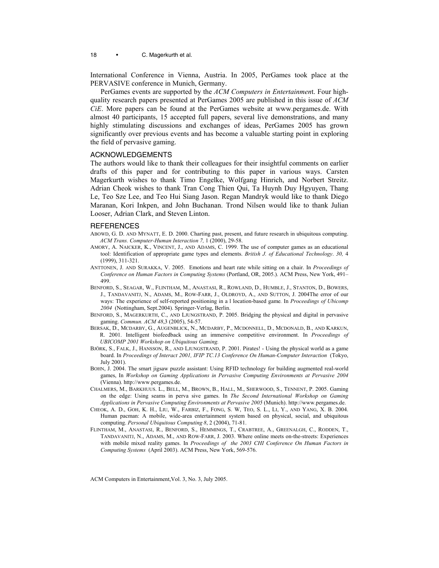International Conference in Vienna, Austria. In 2005, PerGames took place at the PERVASIVE conference in Munich, Germany.

PerGames events are supported by the *ACM Computers in Entertainmen*t. Four highquality research papers presented at PerGames 2005 are published in this issue of *ACM CiE*. More papers can be found at the PerGames website at www.pergames.de. With almost 40 participants, 15 accepted full papers, several live demonstrations, and many highly stimulating discussions and exchanges of ideas, PerGames 2005 has grown significantly over previous events and has become a valuable starting point in exploring the field of pervasive gaming.

# ACKNOWLEDGEMENTS

The authors would like to thank their colleagues for their insightful comments on earlier drafts of this paper and for contributing to this paper in various ways. Carsten Magerkurth wishes to thank Timo Engelke, Wolfgang Hinrich, and Norbert Streitz. Adrian Cheok wishes to thank Tran Cong Thien Qui, Ta Huynh Duy Hgyuyen, Thang Le, Teo Sze Lee, and Teo Hui Siang Jason. Regan Mandryk would like to thank Diego Maranan, Kori Inkpen, and John Buchanan. Trond Nilsen would like to thank Julian Looser, Adrian Clark, and Steven Linton.

#### **REFERENCES**

- ABOWD, G. D. AND MYNATT, E. D. 2000. Charting past, present, and future research in ubiquitous computing. *ACM Trans. Computer-Human Interaction 7,* 1 (2000), 29-58.
- AMORY, A. NAICKER, K., VINCENT, J., AND ADAMS, C. 1999. The use of computer games as an educational tool: Identification of appropriate game types and elements. *British J. of Educational Technology*. *30,* 4 (1999), 311-321.
- ANTTONEN, J. AND SURAKKA, V. 2005. Emotions and heart rate while sitting on a chair. In *Proceedings of Conference on Human Factors in Computing Systems* (Portland, OR, 2005.). ACM Press, New York, 491– 499.
- BENFORD, S., SEAGAR, W., FLINTHAM, M., ANASTASI, R., ROWLAND, D., HUMBLE, J., STANTON, D., BOWERS, J., TANDAVANITJ, N., ADAMS, M., ROW-FARR, J., OLDROYD, A., AND SUTTON, J. 2004The error of our ways: The experience of self-reported positioning in a l location-based game*.* In *Proceedings of Ubicomp 2004* (Nottingham, Sept.2004). Springer-Verlag, Berlin.
- BENFORD, S., MAGERKURTH, C., AND LJUNGSTRAND, P. 2005. Bridging the physical and digital in pervasive gaming. *Commun. ACM 48*,3 (2005), 54-57.
- BERSAK, D., MCDARBY, G., AUGENBLICK, N., MCDARBY, P., MCDONNELL, D., MCDONALD, B., AND KARKUN, R. 2001. Intelligent biofeedback using an immersive competitive environment. In *Proceedings of UBICOMP 2001 Workshop on Ubiquitous Gaming.*
- BJÖRK, S., FALK, J., HANSSON, R., AND LJUNGSTRAND, P. 2001. Pirates! Using the physical world as a game board. In *Proceedings of Interact 2001, IFIP TC.13 Conference On Human-Computer Interaction* (Tokyo, July 2001).
- BOHN, J. 2004. The smart jigsaw puzzle assistant: Using RFID technology for building augmented real-world games, In *Workshop on Gaming Applications in Pervasive Computing Environments at Pervasive 2004*  (Vienna). http://www.pergames.de.
- CHALMERS, M., BARKHUUS. L., BELL, M., BROWN, B., HALL, M., SHERWOOD, S., TENNENT, P. 2005. Gaming on the edge: Using seams in perva sive games. In *The Second International Workshop on Gaming Applications in Pervasive Computing Environments at Pervasive 2005* (Munich). http://www.pergames.de.
- CHEOK, A. D., GOH, K. H., LIU, W., FARBIZ, F., FONG, S. W, TEO, S. L., LI, Y., AND YANG, X. B. 2004. Human pacman: A mobile, wide-area entertainment system based on physical, social, and ubiquitous computing. *Personal Ubiquitous Computing 8*, 2 (2004), 71-81.
- FLINTHAM, M., ANASTASI, R., BENFORD, S., HEMMINGS, T., CRABTREE, A., GREENALGH, C., RODDEN, T., TANDAVANITJ, N., ADAMS, M., AND ROW-FARR, J. 2003. Where online meets on-the-streets: Experiences with mobile mixed reality games. In *Proceedings of the 2003 CHI Conference On Human Factors in Computing Systems* (April 2003). ACM Press, New York, 569-576.